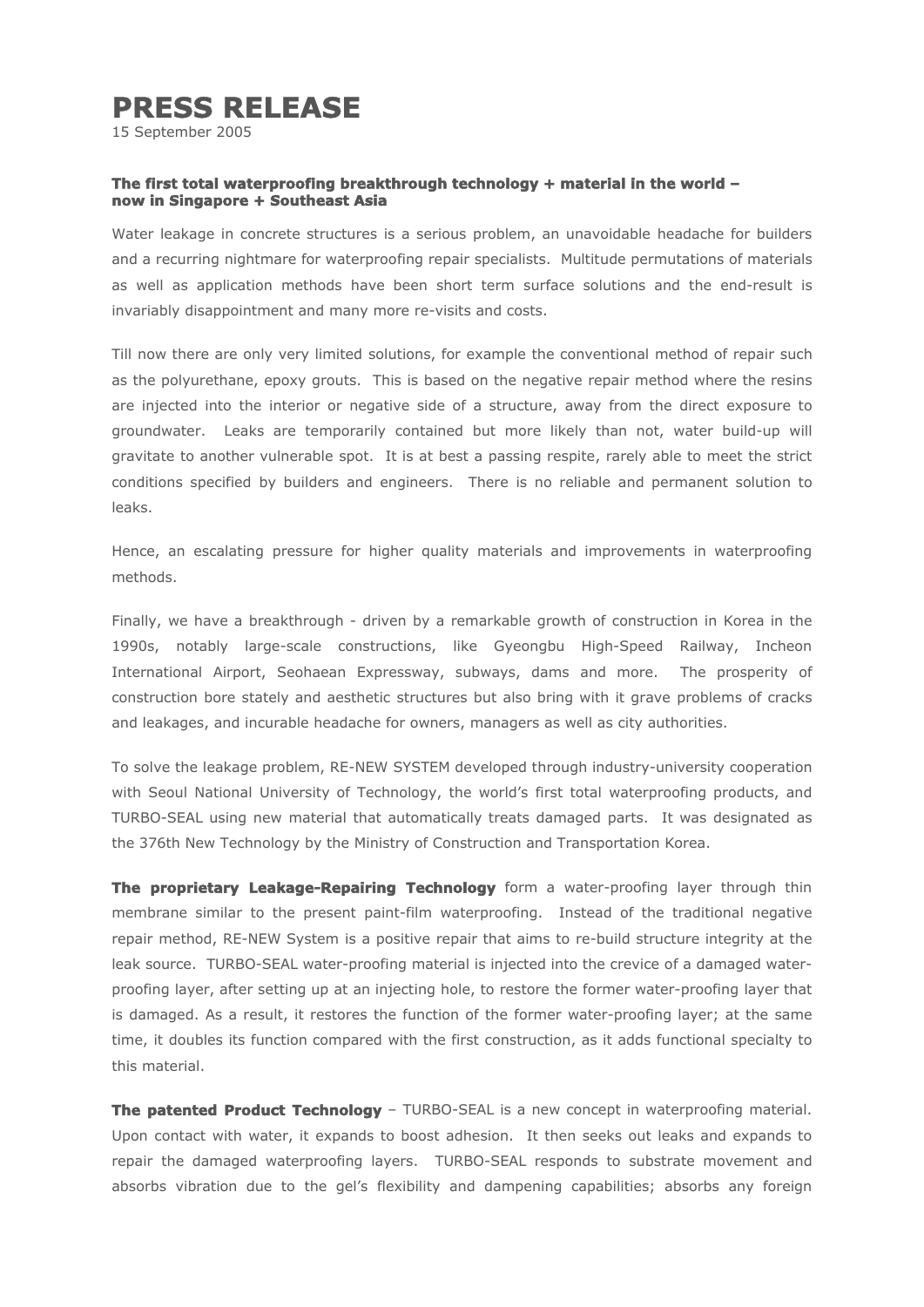## **PRESS RELEASE**

15 September 2005

## **The first total waterproofing breakthrough technology + material in the world – now in Singapore + Southeast Asia**

Water leakage in concrete structures is a serious problem, an unavoidable headache for builders and a recurring nightmare for waterproofing repair specialists. Multitude permutations of materials as well as application methods have been short term surface solutions and the end-result is invariably disappointment and many more re-visits and costs.

Till now there are only very limited solutions, for example the conventional method of repair such as the polyurethane, epoxy grouts. This is based on the negative repair method where the resins are injected into the interior or negative side of a structure, away from the direct exposure to groundwater. Leaks are temporarily contained but more likely than not, water build-up will gravitate to another vulnerable spot. It is at best a passing respite, rarely able to meet the strict conditions specified by builders and engineers. There is no reliable and permanent solution to leaks.

Hence, an escalating pressure for higher quality materials and improvements in waterproofing methods.

Finally, we have a breakthrough - driven by a remarkable growth of construction in Korea in the 1990s, notably large-scale constructions, like Gyeongbu High-Speed Railway, Incheon International Airport, Seohaean Expressway, subways, dams and more. The prosperity of construction bore stately and aesthetic structures but also bring with it grave problems of cracks and leakages, and incurable headache for owners, managers as well as city authorities.

To solve the leakage problem, RE-NEW SYSTEM developed through industry-university cooperation with Seoul National University of Technology, the world's first total waterproofing products, and TURBO-SEAL using new material that automatically treats damaged parts. It was designated as the 376th New Technology by the Ministry of Construction and Transportation Korea.

**The proprietary Leakage-Repairing Technology** form a water-proofing layer through thin membrane similar to the present paint-film waterproofing. Instead of the traditional negative repair method, RE-NEW System is a positive repair that aims to re-build structure integrity at the leak source. TURBO-SEAL water-proofing material is injected into the crevice of a damaged waterproofing layer, after setting up at an injecting hole, to restore the former water-proofing layer that is damaged. As a result, it restores the function of the former water-proofing layer; at the same time, it doubles its function compared with the first construction, as it adds functional specialty to this material.

**The patented Product Technology** – TURBO-SEAL is a new concept in waterproofing material. Upon contact with water, it expands to boost adhesion. It then seeks out leaks and expands to repair the damaged waterproofing layers. TURBO-SEAL responds to substrate movement and absorbs vibration due to the gel's flexibility and dampening capabilities; absorbs any foreign